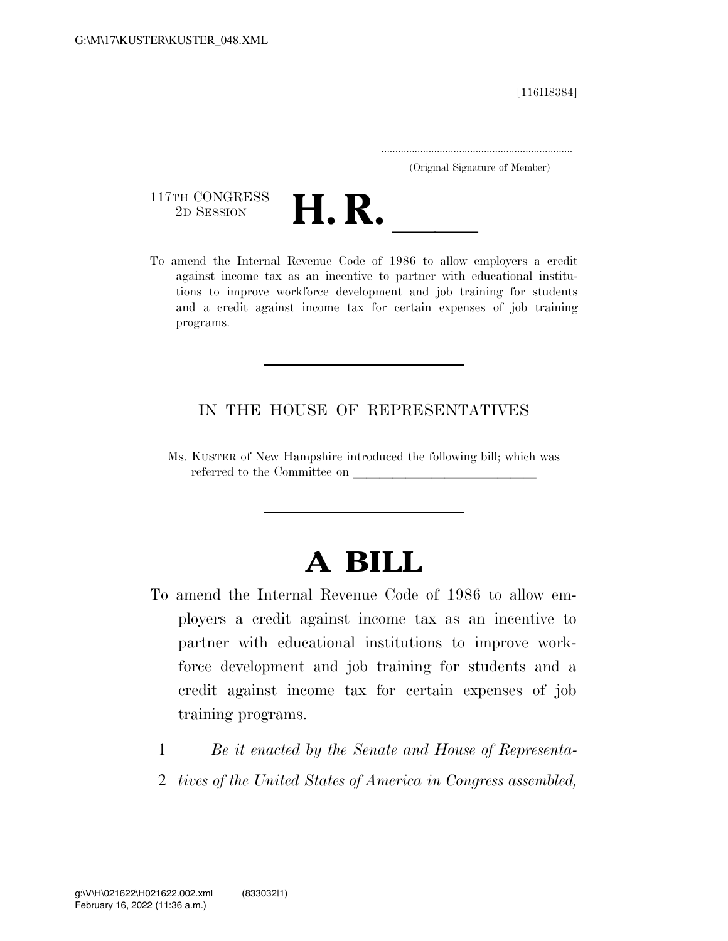[116H8384]

.....................................................................

(Original Signature of Member)

117TH CONGRESS<br>2D SESSION



117TH CONGRESS<br>
2D SESSION<br>
To amend the Internal Revenue Code of 1986 to allow employers a credit against income tax as an incentive to partner with educational institutions to improve workforce development and job training for students and a credit against income tax for certain expenses of job training programs.

## IN THE HOUSE OF REPRESENTATIVES

Ms. KUSTER of New Hampshire introduced the following bill; which was referred to the Committee on

## **A BILL**

- To amend the Internal Revenue Code of 1986 to allow employers a credit against income tax as an incentive to partner with educational institutions to improve workforce development and job training for students and a credit against income tax for certain expenses of job training programs.
	- 1 *Be it enacted by the Senate and House of Representa-*
	- 2 *tives of the United States of America in Congress assembled,*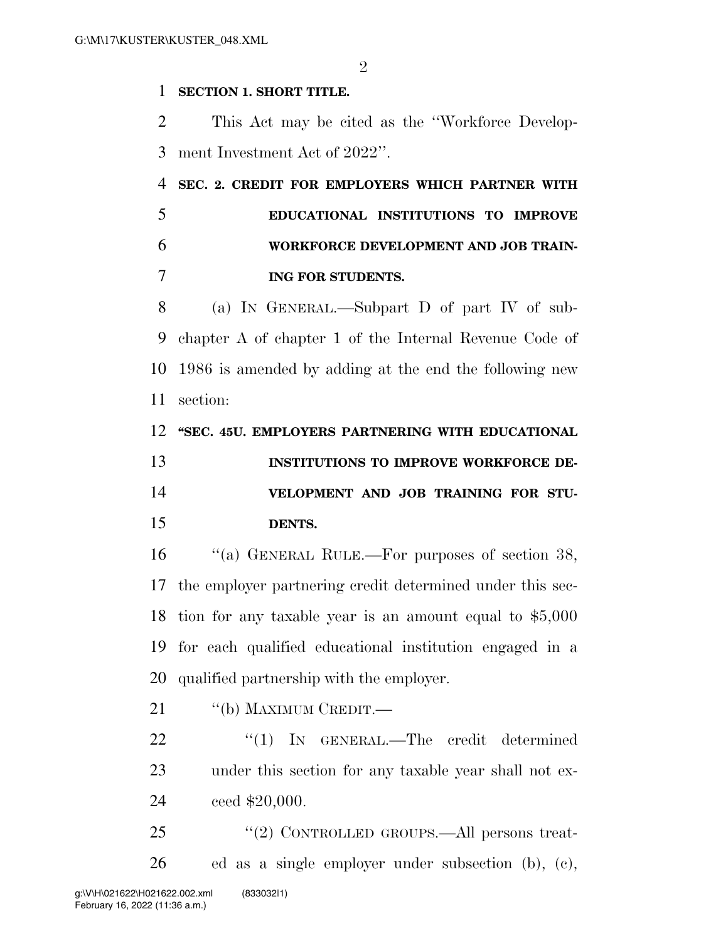$\mathfrak{D}$ 

## **SECTION 1. SHORT TITLE.**

 This Act may be cited as the ''Workforce Develop-ment Investment Act of 2022''.

 **SEC. 2. CREDIT FOR EMPLOYERS WHICH PARTNER WITH EDUCATIONAL INSTITUTIONS TO IMPROVE WORKFORCE DEVELOPMENT AND JOB TRAIN-ING FOR STUDENTS.** 

 (a) IN GENERAL.—Subpart D of part IV of sub- chapter A of chapter 1 of the Internal Revenue Code of 1986 is amended by adding at the end the following new section:

**''SEC. 45U. EMPLOYERS PARTNERING WITH EDUCATIONAL** 

| 13 | <b>INSTITUTIONS TO IMPROVE WORKFORCE DE-</b> |
|----|----------------------------------------------|
| 14 | VELOPMENT AND JOB TRAINING FOR STU-          |
| 15 | DENTS.                                       |

16 "(a) GENERAL RULE.—For purposes of section 38, the employer partnering credit determined under this sec- tion for any taxable year is an amount equal to \$5,000 for each qualified educational institution engaged in a qualified partnership with the employer.

21 "(b) MAXIMUM CREDIT.—

22 "(1) IN GENERAL.—The credit determined under this section for any taxable year shall not ex-ceed \$20,000.

25 "(2) CONTROLLED GROUPS.—All persons treat-ed as a single employer under subsection (b), (c),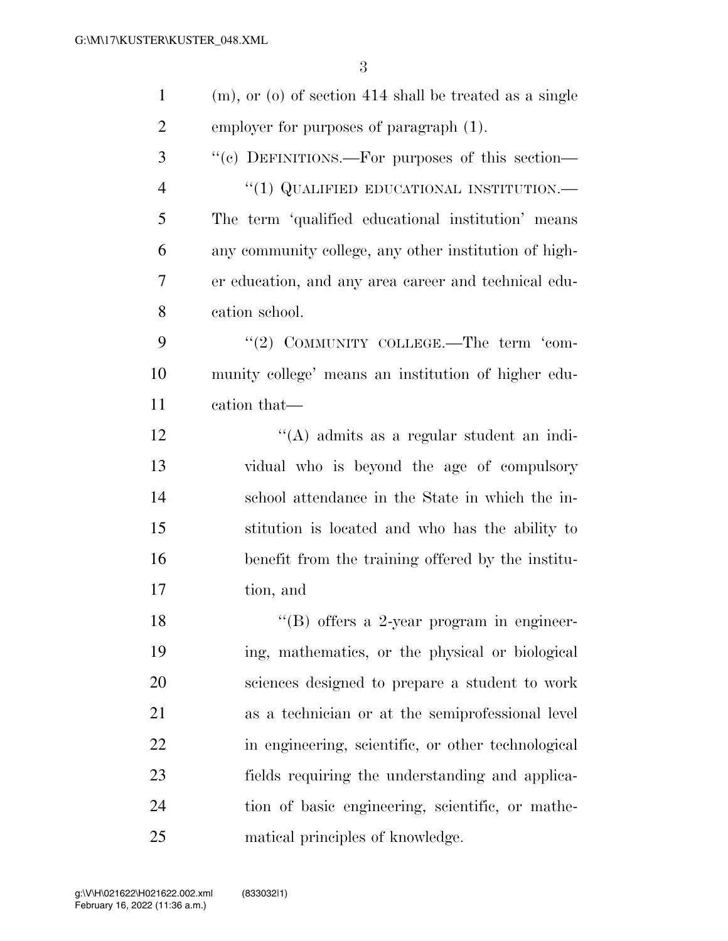| $\mathbf{1}$   | $(m)$ , or $(o)$ of section 414 shall be treated as a single |
|----------------|--------------------------------------------------------------|
| $\overline{2}$ | employer for purposes of paragraph (1).                      |
| 3              | "(c) DEFINITIONS.—For purposes of this section—              |
| $\overline{4}$ | $``(1)$ QUALIFIED EDUCATIONAL INSTITUTION.—                  |
| 5              | The term 'qualified educational institution' means           |
| 6              | any community college, any other institution of high-        |
| 7              | er education, and any area career and technical edu-         |
| 8              | cation school.                                               |
| 9              | "(2) COMMUNITY COLLEGE.—The term 'com-                       |
| 10             | munity college' means an institution of higher edu-          |
| 11             | cation that—                                                 |
| 12             | "(A) admits as a regular student an indi-                    |
| 13             | vidual who is beyond the age of compulsory                   |
| 14             | school attendance in the State in which the in-              |
| 15             | stitution is located and who has the ability to              |
| 16             | benefit from the training offered by the institu-            |
| 17             | tion, and                                                    |
| 18             | $\lq$ (B) offers a 2-year program in engineer-               |
| 19             | ing, mathematics, or the physical or biological              |
| 20             | sciences designed to prepare a student to work               |
| 21             | as a technician or at the semiprofessional level             |
| 22             | in engineering, scientific, or other technological           |
| 23             | fields requiring the understanding and applica-              |
| 24             | tion of basic engineering, scientific, or mathe-             |
| 25             | matical principles of knowledge.                             |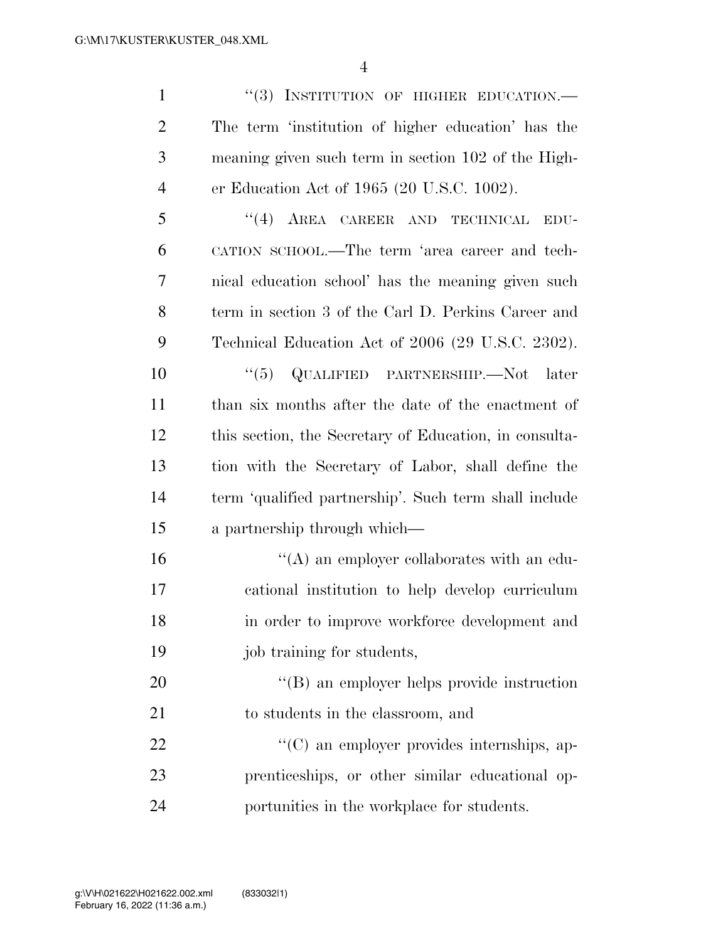1 "(3) INSTITUTION OF HIGHER EDUCATION.— The term 'institution of higher education' has the meaning given such term in section 102 of the High-er Education Act of 1965 (20 U.S.C. 1002).

 ''(4) AREA CAREER AND TECHNICAL EDU- CATION SCHOOL.—The term 'area career and tech- nical education school' has the meaning given such term in section 3 of the Carl D. Perkins Career and Technical Education Act of 2006 (29 U.S.C. 2302).

 ''(5) QUALIFIED PARTNERSHIP.—Not later than six months after the date of the enactment of this section, the Secretary of Education, in consulta- tion with the Secretary of Labor, shall define the term 'qualified partnership'. Such term shall include a partnership through which—

 $\langle (A)$  an employer collaborates with an edu- cational institution to help develop curriculum in order to improve workforce development and job training for students,

20 "'(B) an employer helps provide instruction to students in the classroom, and

22  $\langle ^{\prime}(C) \rangle$  an employer provides internships, ap- prenticeships, or other similar educational op-portunities in the workplace for students.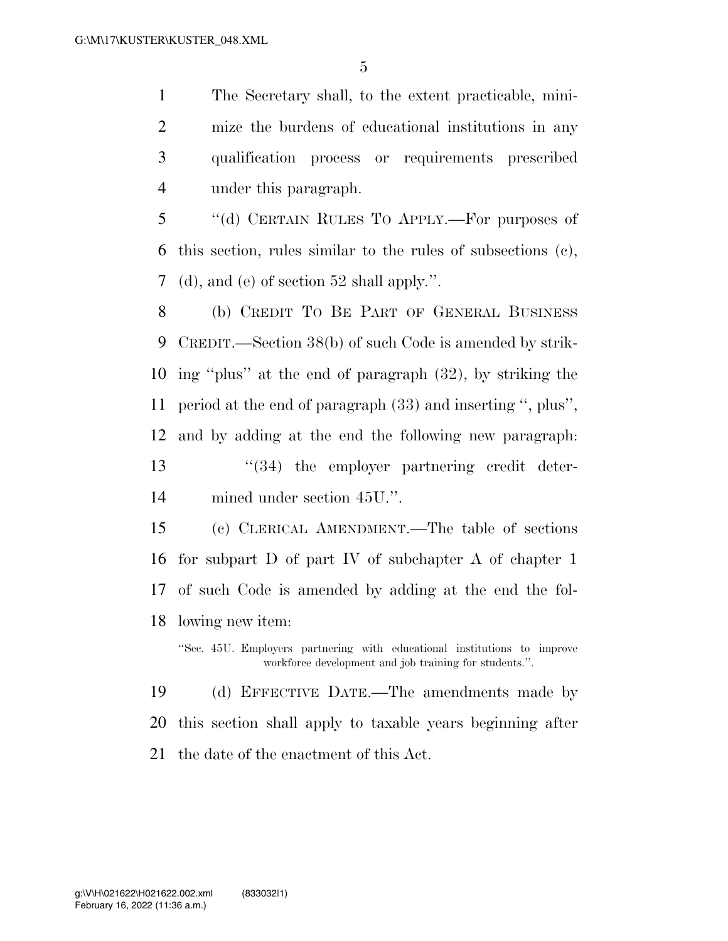The Secretary shall, to the extent practicable, mini- mize the burdens of educational institutions in any qualification process or requirements prescribed under this paragraph.

 ''(d) CERTAIN RULES TO APPLY.—For purposes of this section, rules similar to the rules of subsections (c), (d), and (e) of section 52 shall apply.''.

 (b) CREDIT TO BE PART OF GENERAL BUSINESS CREDIT.—Section 38(b) of such Code is amended by strik- ing ''plus'' at the end of paragraph (32), by striking the period at the end of paragraph (33) and inserting '', plus'', and by adding at the end the following new paragraph: 13 ''(34) the employer partnering credit deter-mined under section 45U.''.

 (c) CLERICAL AMENDMENT.—The table of sections for subpart D of part IV of subchapter A of chapter 1 of such Code is amended by adding at the end the fol-lowing new item:

''Sec. 45U. Employers partnering with educational institutions to improve workforce development and job training for students.''.

 (d) EFFECTIVE DATE.—The amendments made by this section shall apply to taxable years beginning after the date of the enactment of this Act.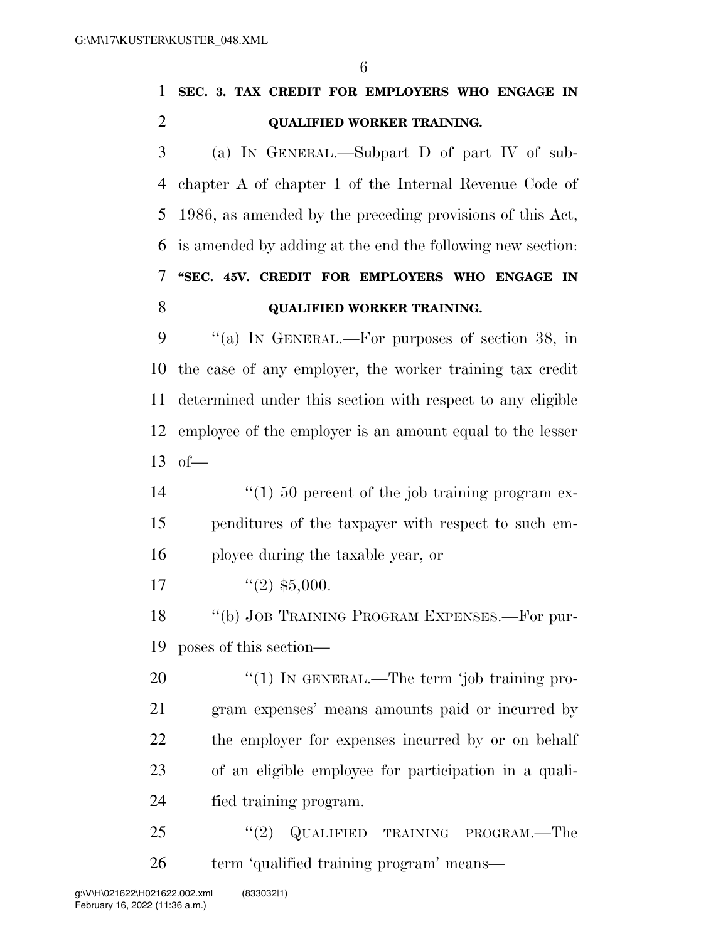| 1 | SEC. 3. TAX CREDIT FOR EMPLOYERS WHO ENGAGE IN               |
|---|--------------------------------------------------------------|
| 2 | <b>QUALIFIED WORKER TRAINING.</b>                            |
| 3 | (a) IN GENERAL.—Subpart D of part IV of sub-                 |
|   | 4 chapter A of chapter 1 of the Internal Revenue Code of     |
|   | 5 1986, as amended by the preceding provisions of this Act,  |
|   | 6 is amended by adding at the end the following new section: |
| 7 | "SEC. 45V. CREDIT FOR EMPLOYERS WHO ENGAGE IN                |
| 8 | <b>QUALIFIED WORKER TRAINING.</b>                            |
| 9 | "(a) IN GENERAL.—For purposes of section 38, in              |

 the case of any employer, the worker training tax credit determined under this section with respect to any eligible employee of the employer is an amount equal to the lesser of—

14  $\frac{1}{2}$  (1) 50 percent of the job training program ex- penditures of the taxpayer with respect to such em-ployee during the taxable year, or

17  $\frac{1}{2}$   $\frac{1}{2}$  \$5,000.

18 "(b) JOB TRAINING PROGRAM EXPENSES.—For pur-poses of this section—

 $\frac{1}{20}$  IN GENERAL.—The term 'job training pro- gram expenses' means amounts paid or incurred by the employer for expenses incurred by or on behalf of an eligible employee for participation in a quali-fied training program.

25 "(2) QUALIFIED TRAINING PROGRAM.—The 26 term 'qualified training program' means—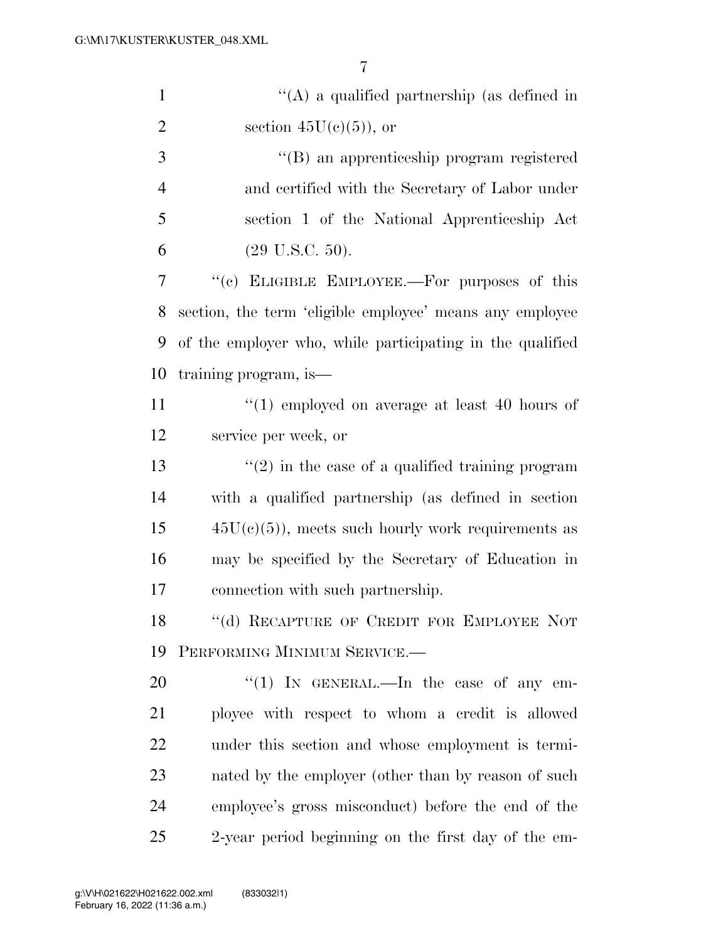| $\mathbf{1}$   | $\lq\lq$ a qualified partnership (as defined in           |
|----------------|-----------------------------------------------------------|
| $\overline{2}$ | section $45U(c)(5)$ , or                                  |
| 3              | "(B) an apprenticeship program registered                 |
| $\overline{4}$ | and certified with the Secretary of Labor under           |
| 5              | section 1 of the National Apprenticeship Act              |
| 6              | $(29 \text{ U.S.C. } 50).$                                |
| $\overline{7}$ | "(c) ELIGIBLE EMPLOYEE.—For purposes of this              |
| 8              | section, the term 'eligible employee' means any employee  |
| 9              | of the employer who, while participating in the qualified |
| 10             | training program, is—                                     |
| 11             | $(1)$ employed on average at least 40 hours of            |
| 12             | service per week, or                                      |
| 13             | $\lq(2)$ in the case of a qualified training program      |
| 14             | with a qualified partnership (as defined in section       |
| 15             | $45U(c)(5)$ , meets such hourly work requirements as      |
| 16             | may be specified by the Secretary of Education in         |
| 17             | connection with such partnership.                         |
| 18             | "(d) RECAPTURE OF CREDIT FOR EMPLOYEE NOT                 |
| 19             | PERFORMING MINIMUM SERVICE.                               |
| 20             | "(1) IN GENERAL.—In the case of any em-                   |
| 21             | ployee with respect to whom a credit is allowed           |
| 22             | under this section and whose employment is termi-         |
| 23             | nated by the employer (other than by reason of such       |
| 24             | employee's gross misconduct) before the end of the        |
| 25             | 2-year period beginning on the first day of the em-       |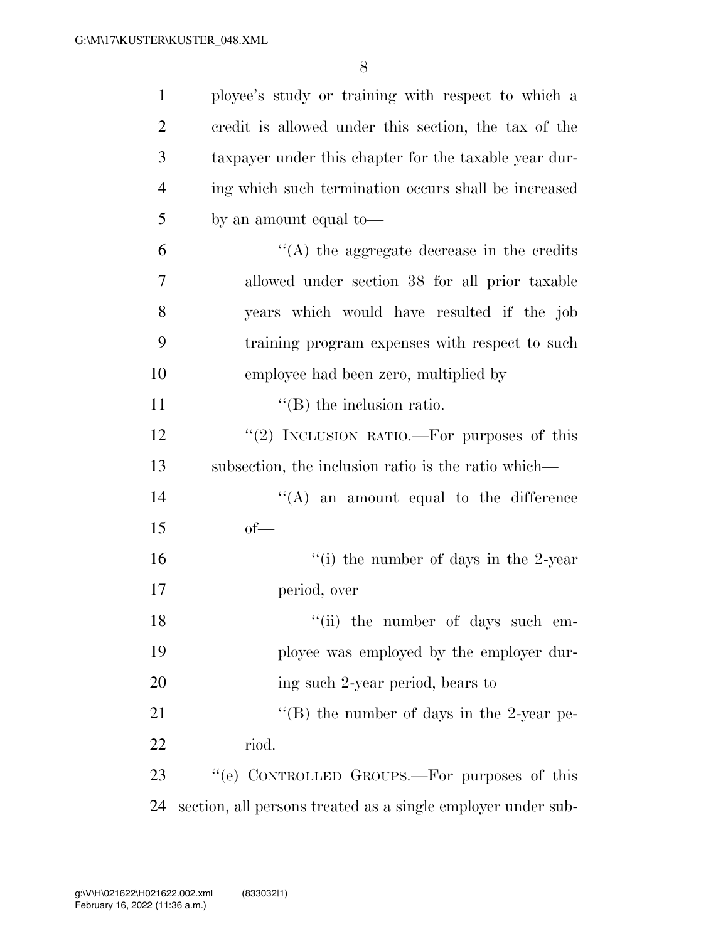| $\mathbf{1}$   | ployee's study or training with respect to which a           |
|----------------|--------------------------------------------------------------|
| $\overline{2}$ | credit is allowed under this section, the tax of the         |
| 3              | taxpayer under this chapter for the taxable year dur-        |
| $\overline{4}$ | ing which such termination occurs shall be increased         |
| 5              | by an amount equal to-                                       |
| 6              | $\lq\lq$ the aggregate decrease in the credits               |
| 7              | allowed under section 38 for all prior taxable               |
| 8              | years which would have resulted if the job                   |
| 9              | training program expenses with respect to such               |
| 10             | employee had been zero, multiplied by                        |
| 11             | $\lq\lq$ (B) the inclusion ratio.                            |
| 12             | "(2) INCLUSION RATIO.—For purposes of this                   |
| 13             | subsection, the inclusion ratio is the ratio which—          |
| 14             | $\lq\lq$ an amount equal to the difference                   |
| 15             | $of$ —                                                       |
| 16             | "(i) the number of days in the 2-year                        |
| 17             | period, over                                                 |
| 18             | "(ii) the number of days such em-                            |
| 19             | ployee was employed by the employer dur-                     |
| 20             | ing such 2-year period, bears to                             |
| 21             | "(B) the number of days in the 2-year pe-                    |
| 22             | riod.                                                        |
| 23             | "(e) CONTROLLED GROUPS.—For purposes of this                 |
| 24             | section, all persons treated as a single employer under sub- |